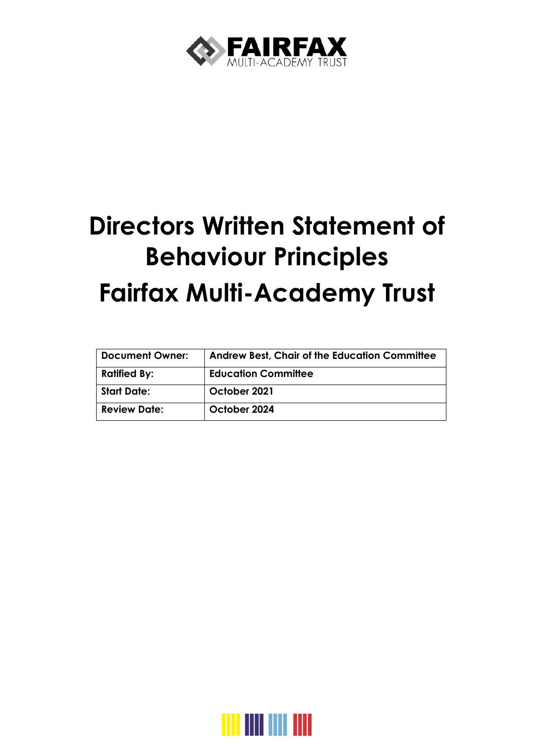

# **Directors Written Statement of Behaviour Principles Fairfax Multi-Academy Trust**

| <b>Document Owner:</b> | Andrew Best, Chair of the Education Committee |
|------------------------|-----------------------------------------------|
| <b>Ratified By:</b>    | <b>Education Committee</b>                    |
| <b>Start Date:</b>     | October 2021                                  |
| <b>Review Date:</b>    | October 2024                                  |

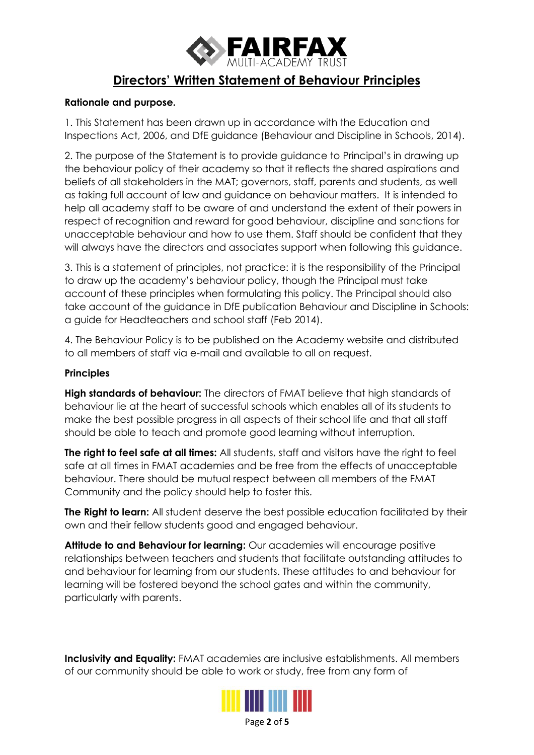

# **Directors' Written Statement of Behaviour Principles**

#### **Rationale and purpose.**

1. This Statement has been drawn up in accordance with the Education and Inspections Act, 2006, and DfE guidance (Behaviour and Discipline in Schools, 2014).

2. The purpose of the Statement is to provide guidance to Principal's in drawing up the behaviour policy of their academy so that it reflects the shared aspirations and beliefs of all stakeholders in the MAT; governors, staff, parents and students, as well as taking full account of law and guidance on behaviour matters. It is intended to help all academy staff to be aware of and understand the extent of their powers in respect of recognition and reward for good behaviour, discipline and sanctions for unacceptable behaviour and how to use them. Staff should be confident that they will always have the directors and associates support when following this guidance.

3. This is a statement of principles, not practice: it is the responsibility of the Principal to draw up the academy's behaviour policy, though the Principal must take account of these principles when formulating this policy. The Principal should also take account of the guidance in DfE publication Behaviour and Discipline in Schools: a guide for Headteachers and school staff (Feb 2014).

4. The Behaviour Policy is to be published on the Academy website and distributed to all members of staff via e-mail and available to all on request.

#### **Principles**

**High standards of behaviour:** The directors of FMAT believe that high standards of behaviour lie at the heart of successful schools which enables all of its students to make the best possible progress in all aspects of their school life and that all staff should be able to teach and promote good learning without interruption.

**The right to feel safe at all times:** All students, staff and visitors have the right to feel safe at all times in FMAT academies and be free from the effects of unacceptable behaviour. There should be mutual respect between all members of the FMAT Community and the policy should help to foster this.

**The Right to learn:** All student deserve the best possible education facilitated by their own and their fellow students good and engaged behaviour.

**Attitude to and Behaviour for learning:** Our academies will encourage positive relationships between teachers and students that facilitate outstanding attitudes to and behaviour for learning from our students. These attitudes to and behaviour for learning will be fostered beyond the school gates and within the community, particularly with parents.

**Inclusivity and Equality:** FMAT academies are inclusive establishments. All members of our community should be able to work or study, free from any form of



Page **2** of **5**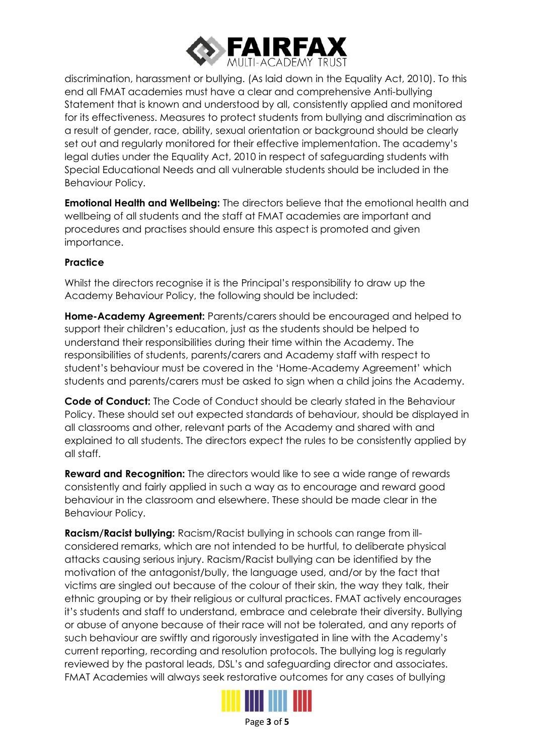

discrimination, harassment or bullying. (As laid down in the Equality Act, 2010). To this end all FMAT academies must have a clear and comprehensive Anti-bullying Statement that is known and understood by all, consistently applied and monitored for its effectiveness. Measures to protect students from bullying and discrimination as a result of gender, race, ability, sexual orientation or background should be clearly set out and regularly monitored for their effective implementation. The academy's legal duties under the Equality Act, 2010 in respect of safeguarding students with Special Educational Needs and all vulnerable students should be included in the Behaviour Policy.

**Emotional Health and Wellbeing:** The directors believe that the emotional health and wellbeing of all students and the staff at FMAT academies are important and procedures and practises should ensure this aspect is promoted and given importance.

## **Practice**

Whilst the directors recognise it is the Principal's responsibility to draw up the Academy Behaviour Policy, the following should be included:

**Home-Academy Agreement:** Parents/carers should be encouraged and helped to support their children's education, just as the students should be helped to understand their responsibilities during their time within the Academy. The responsibilities of students, parents/carers and Academy staff with respect to student's behaviour must be covered in the 'Home-Academy Agreement' which students and parents/carers must be asked to sign when a child joins the Academy.

**Code of Conduct:** The Code of Conduct should be clearly stated in the Behaviour Policy. These should set out expected standards of behaviour, should be displayed in all classrooms and other, relevant parts of the Academy and shared with and explained to all students. The directors expect the rules to be consistently applied by all staff.

**Reward and Recognition:** The directors would like to see a wide range of rewards consistently and fairly applied in such a way as to encourage and reward good behaviour in the classroom and elsewhere. These should be made clear in the Behaviour Policy.

**Racism/Racist bullying:** Racism/Racist bullying in schools can range from illconsidered remarks, which are not intended to be hurtful, to deliberate physical attacks causing serious injury. Racism/Racist bullying can be identified by the motivation of the antagonist/bully, the language used, and/or by the fact that victims are singled out because of the colour of their skin, the way they talk, their ethnic grouping or by their religious or cultural practices. FMAT actively encourages it's students and staff to understand, embrace and celebrate their diversity. Bullying or abuse of anyone because of their race will not be tolerated, and any reports of such behaviour are swiftly and rigorously investigated in line with the Academy's current reporting, recording and resolution protocols. The bullying log is regularly reviewed by the pastoral leads, DSL's and safeguarding director and associates. FMAT Academies will always seek restorative outcomes for any cases of bullying



Page **3** of **5**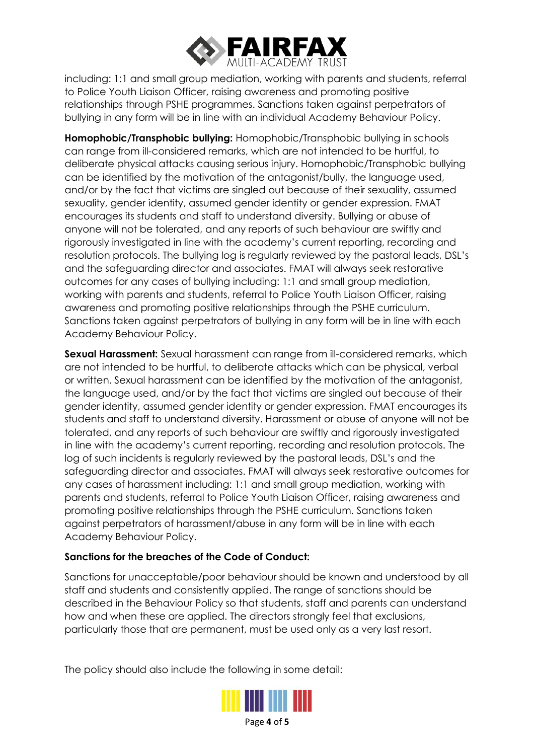

including: 1:1 and small group mediation, working with parents and students, referral to Police Youth Liaison Officer, raising awareness and promoting positive relationships through PSHE programmes. Sanctions taken against perpetrators of bullying in any form will be in line with an individual Academy Behaviour Policy.

**Homophobic/Transphobic bullying:** Homophobic/Transphobic bullying in schools can range from ill-considered remarks, which are not intended to be hurtful, to deliberate physical attacks causing serious injury. Homophobic/Transphobic bullying can be identified by the motivation of the antagonist/bully, the language used, and/or by the fact that victims are singled out because of their sexuality, assumed sexuality, gender identity, assumed gender identity or gender expression. FMAT encourages its students and staff to understand diversity. Bullying or abuse of anyone will not be tolerated, and any reports of such behaviour are swiftly and rigorously investigated in line with the academy's current reporting, recording and resolution protocols. The bullying log is regularly reviewed by the pastoral leads, DSL's and the safeguarding director and associates. FMAT will always seek restorative outcomes for any cases of bullying including: 1:1 and small group mediation, working with parents and students, referral to Police Youth Liaison Officer, raising awareness and promoting positive relationships through the PSHE curriculum. Sanctions taken against perpetrators of bullying in any form will be in line with each Academy Behaviour Policy.

**Sexual Harassment:** Sexual harassment can range from ill-considered remarks, which are not intended to be hurtful, to deliberate attacks which can be physical, verbal or written. Sexual harassment can be identified by the motivation of the antagonist, the language used, and/or by the fact that victims are singled out because of their gender identity, assumed gender identity or gender expression. FMAT encourages its students and staff to understand diversity. Harassment or abuse of anyone will not be tolerated, and any reports of such behaviour are swiftly and rigorously investigated in line with the academy's current reporting, recording and resolution protocols. The log of such incidents is regularly reviewed by the pastoral leads, DSL's and the safeguarding director and associates. FMAT will always seek restorative outcomes for any cases of harassment including: 1:1 and small group mediation, working with parents and students, referral to Police Youth Liaison Officer, raising awareness and promoting positive relationships through the PSHE curriculum. Sanctions taken against perpetrators of harassment/abuse in any form will be in line with each Academy Behaviour Policy.

## **Sanctions for the breaches of the Code of Conduct:**

Sanctions for unacceptable/poor behaviour should be known and understood by all staff and students and consistently applied. The range of sanctions should be described in the Behaviour Policy so that students, staff and parents can understand how and when these are applied. The directors strongly feel that exclusions, particularly those that are permanent, must be used only as a very last resort.

The policy should also include the following in some detail: